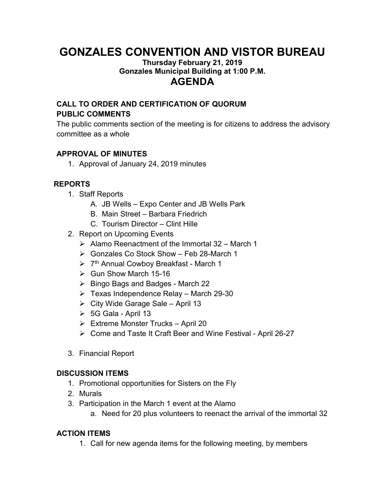# **GONZALES CONVENTION AND VISTOR BUREAU**

#### **Thursday February 21, 2019 Gonzales Municipal Building at 1:00 P.M. AGENDA**

## **CALL TO ORDER AND CERTIFICATION OF QUORUM PUBLIC COMMENTS**

The public comments section of the meeting is for citizens to address the advisory committee as a whole

#### **APPROVAL OF MINUTES**

1. Approval of January 24, 2019 minutes

### **REPORTS**

- 1. Staff Reports
	- A. JB Wells Expo Center and JB Wells Park
	- B. Main Street Barbara Friedrich
	- C. Tourism Director Clint Hille
- 2. Report on Upcoming Events
	- $\triangleright$  Alamo Reenactment of the Immortal 32 March 1
	- Gonzales Co Stock Show Feb 28-March 1
	- ▶ 7<sup>th</sup> Annual Cowboy Breakfast March 1
	- $\triangleright$  Gun Show March 15-16
	- $\triangleright$  Bingo Bags and Badges March 22
	- $\triangleright$  Texas Independence Relay March 29-30
	- $\triangleright$  City Wide Garage Sale April 13
	- 5G Gala April 13
	- $\triangleright$  Extreme Monster Trucks April 20
	- Come and Taste It Craft Beer and Wine Festival April 26-27
- 3. Financial Report

#### **DISCUSSION ITEMS**

- 1. Promotional opportunities for Sisters on the Fly
- 2. Murals
- 3. Participation in the March 1 event at the Alamo
	- a. Need for 20 plus volunteers to reenact the arrival of the immortal 32

#### **ACTION ITEMS**

1. Call for new agenda items for the following meeting, by members